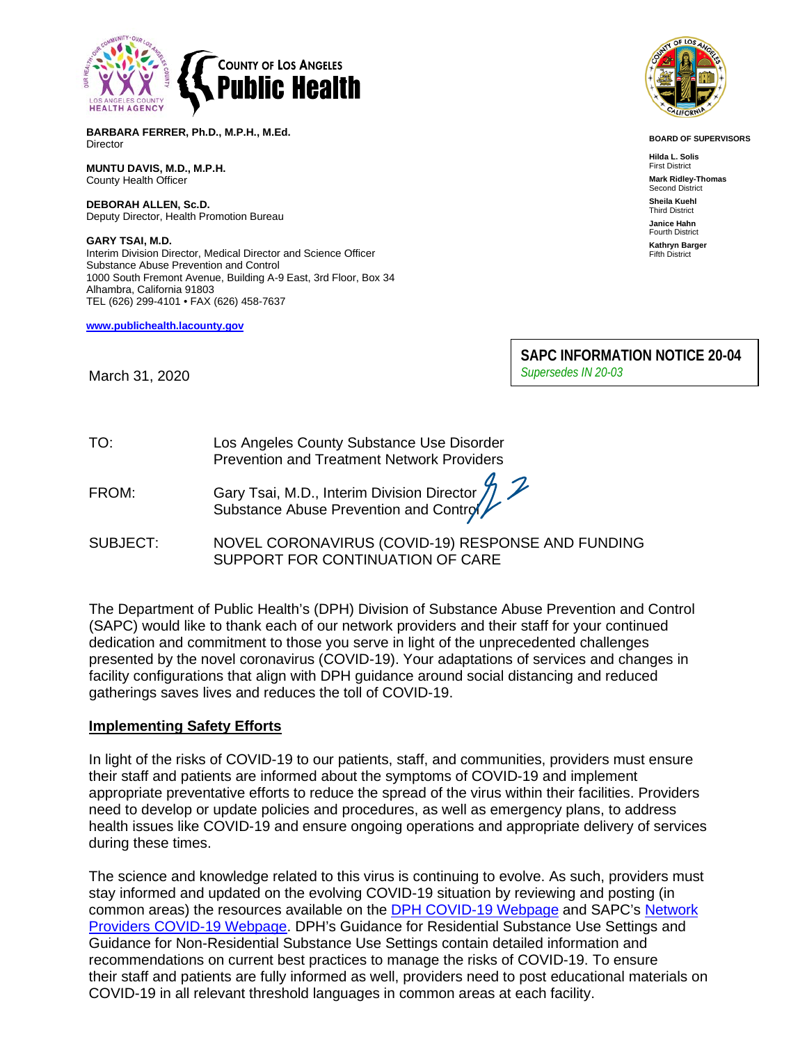

**BARBARA FERRER, Ph.D., M.P.H., M.Ed.** Director

**MUNTU DAVIS, M.D., M.P.H.** County Health Officer

**DEBORAH ALLEN, Sc.D.** Deputy Director, Health Promotion Bureau

**GARY TSAI, M.D.** Interim Division Director, Medical Director and Science Officer Substance Abuse Prevention and Control 1000 South Fremont Avenue, Building A-9 East, 3rd Floor, Box 34 Alhambra, California 91803 TEL (626) 299-4101 • FAX (626) 458-7637

**[www.publichealth.lacounty.gov](about:blank)**



**BOARD OF SUPERVISORS**

**Hilda L. Solis** First District **Mark Ridley-Thomas** Second District **Sheila Kuehl** Third District **Janice Hahn** Fourth District **Kathryn Barger** Fifth District

**SAPC INFORMATION NOTICE 20-04** *Supersedes IN 20-03*

March 31, 2020

| TO: | Los Angeles County Substance Use Disorder         |
|-----|---------------------------------------------------|
|     | <b>Prevention and Treatment Network Providers</b> |

| FROM: |                                              |
|-------|----------------------------------------------|
|       | Gary Tsai, M.D., Interim Division Director 7 |

SUBJECT: NOVEL CORONAVIRUS (COVID-19) RESPONSE AND FUNDING SUPPORT FOR CONTINUATION OF CARE

The Department of Public Health's (DPH) Division of Substance Abuse Prevention and Control (SAPC) would like to thank each of our network providers and their staff for your continued dedication and commitment to those you serve in light of the unprecedented challenges presented by the novel coronavirus (COVID-19). Your adaptations of services and changes in facility configurations that align with DPH guidance around social distancing and reduced gatherings saves lives and reduces the toll of COVID-19.

### **Implementing Safety Efforts**

In light of the risks of COVID-19 to our patients, staff, and communities, providers must ensure their staff and patients are informed about the symptoms of COVID-19 and implement appropriate preventative efforts to reduce the spread of the virus within their facilities. Providers need to develop or update policies and procedures, as well as emergency plans, to address health issues like COVID-19 and ensure ongoing operations and appropriate delivery of services during these times.

The science and knowledge related to this virus is continuing to evolve. As such, providers must stay informed and updated on the evolving COVID-19 situation by reviewing and posting (in common areas) the resources available on the [DPH COVID-19 Webpage](http://publichealth.lacounty.gov/media/Coronavirus/) and SAPC's [Network](http://publichealth.lacounty.gov/sapc/providers/covid19/)  [Providers COVID-19](http://publichealth.lacounty.gov/sapc/providers/covid19/) Webpage. DPH's Guidance for Residential Substance Use Settings and Guidance for Non-Residential Substance Use Settings contain detailed information and recommendations on current best practices to manage the risks of COVID-19. To ensure their staff and patients are fully informed as well, providers need to post educational materials on COVID-19 in all relevant threshold languages in common areas at each facility.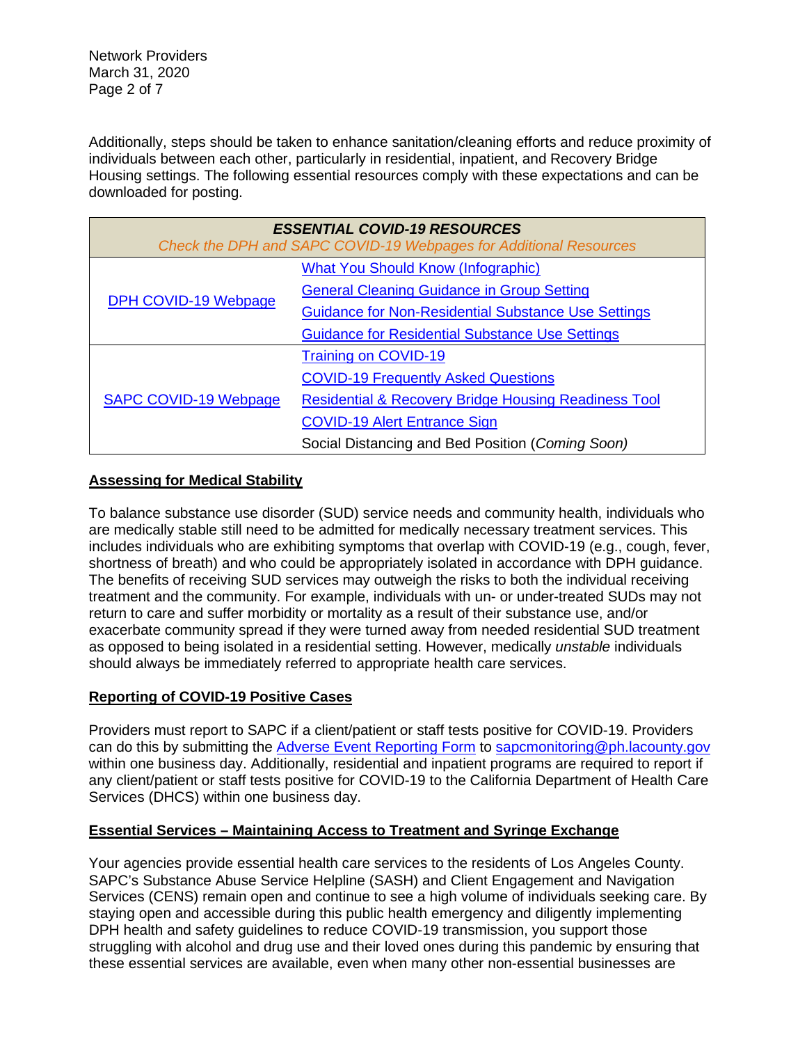Network Providers March 31, 2020 Page 2 of 7

Additionally, steps should be taken to enhance sanitation/cleaning efforts and reduce proximity of individuals between each other, particularly in residential, inpatient, and Recovery Bridge Housing settings. The following essential resources comply with these expectations and can be downloaded for posting.

| <b>ESSENTIAL COVID-19 RESOURCES</b><br>Check the DPH and SAPC COVID-19 Webpages for Additional Resources |                                                                 |  |
|----------------------------------------------------------------------------------------------------------|-----------------------------------------------------------------|--|
| DPH COVID-19 Webpage                                                                                     | <b>What You Should Know (Infographic)</b>                       |  |
|                                                                                                          | <b>General Cleaning Guidance in Group Setting</b>               |  |
|                                                                                                          | <b>Guidance for Non-Residential Substance Use Settings</b>      |  |
|                                                                                                          | <b>Guidance for Residential Substance Use Settings</b>          |  |
| <b>SAPC COVID-19 Webpage</b>                                                                             | <b>Training on COVID-19</b>                                     |  |
|                                                                                                          | <b>COVID-19 Frequently Asked Questions</b>                      |  |
|                                                                                                          | <b>Residential &amp; Recovery Bridge Housing Readiness Tool</b> |  |
|                                                                                                          | <b>COVID-19 Alert Entrance Sign</b>                             |  |
|                                                                                                          | Social Distancing and Bed Position (Coming Soon)                |  |

# **Assessing for Medical Stability**

To balance substance use disorder (SUD) service needs and community health, individuals who are medically stable still need to be admitted for medically necessary treatment services. This includes individuals who are exhibiting symptoms that overlap with COVID-19 (e.g., cough, fever, shortness of breath) and who could be appropriately isolated in accordance with DPH guidance. The benefits of receiving SUD services may outweigh the risks to both the individual receiving treatment and the community. For example, individuals with un- or under-treated SUDs may not return to care and suffer morbidity or mortality as a result of their substance use, and/or exacerbate community spread if they were turned away from needed residential SUD treatment as opposed to being isolated in a residential setting. However, medically *unstable* individuals should always be immediately referred to appropriate health care services.

# **Reporting of COVID-19 Positive Cases**

Providers must report to SAPC if a client/patient or staff tests positive for COVID-19. Providers can do this by submitting the [Adverse Event Reporting Form](http://publichealth.lacounty.gov/sapc/NetworkProviders/ClinicalForms/AQI/AdverseEventReportingForm.pdf) to [sapcmonitoring@ph.lacounty.gov](mailto:sapcmonitoring@ph.lacounty.gov) within one business day. Additionally, residential and inpatient programs are required to report if any client/patient or staff tests positive for COVID-19 to the California Department of Health Care Services (DHCS) within one business day.

# **Essential Services – Maintaining Access to Treatment and Syringe Exchange**

Your agencies provide essential health care services to the residents of Los Angeles County. SAPC's Substance Abuse Service Helpline (SASH) and Client Engagement and Navigation Services (CENS) remain open and continue to see a high volume of individuals seeking care. By staying open and accessible during this public health emergency and diligently implementing DPH health and safety guidelines to reduce COVID-19 transmission, you support those struggling with alcohol and drug use and their loved ones during this pandemic by ensuring that these essential services are available, even when many other non-essential businesses are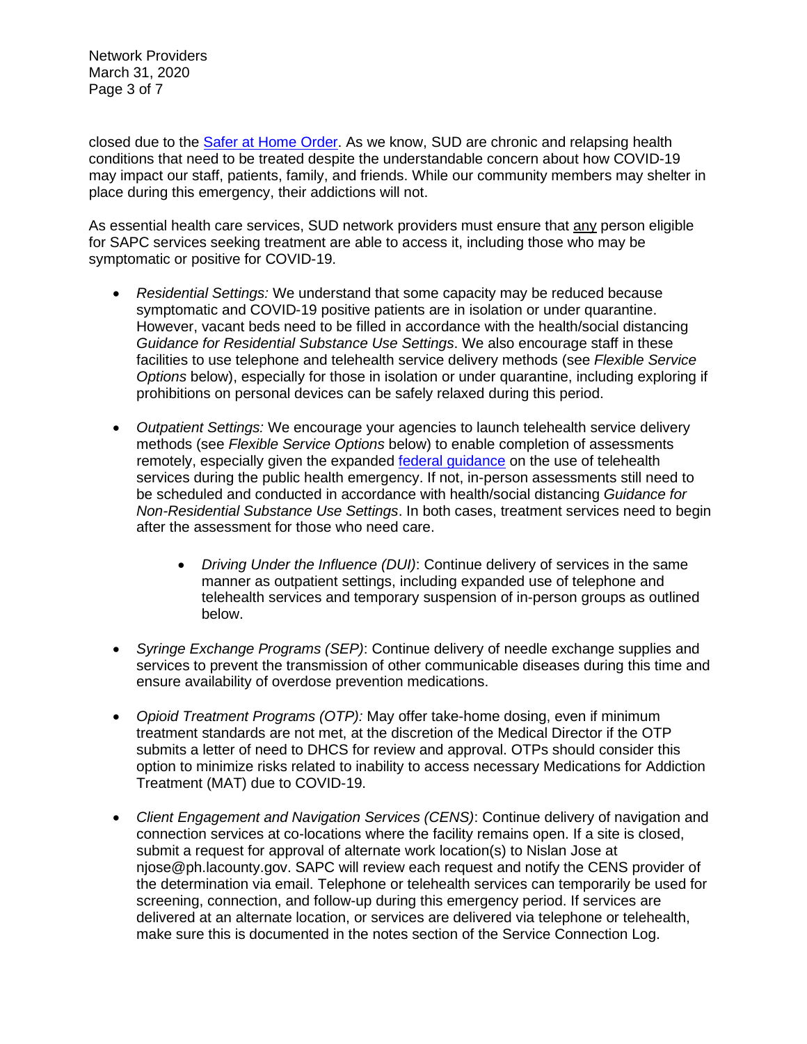Network Providers March 31, 2020 Page 3 of 7

closed due to the [Safer at Home Order.](http://www.ph.lacounty.gov/media/Coronavirus/COVID-19_March%2021-HOOrder-7_00_FINAL2.pdf) As we know, SUD are chronic and relapsing health conditions that need to be treated despite the understandable concern about how COVID-19 may impact our staff, patients, family, and friends. While our community members may shelter in place during this emergency, their addictions will not.

As essential health care services, SUD network providers must ensure that any person eligible for SAPC services seeking treatment are able to access it, including those who may be symptomatic or positive for COVID-19.

- *Residential Settings:* We understand that some capacity may be reduced because symptomatic and COVID-19 positive patients are in isolation or under quarantine. However, vacant beds need to be filled in accordance with the health/social distancing *Guidance for Residential Substance Use Settings*. We also encourage staff in these facilities to use telephone and telehealth service delivery methods (see *Flexible Service Options* below), especially for those in isolation or under quarantine, including exploring if prohibitions on personal devices can be safely relaxed during this period.
- *Outpatient Settings:* We encourage your agencies to launch telehealth service delivery methods (see *Flexible Service Options* below) to enable completion of assessments remotely, especially given the expanded [federal guidance](https://www.hhs.gov/hipaa/for-professionals/special-topics/emergency-preparedness/notification-enforcement-discretion-telehealth/index.html) on the use of telehealth services during the public health emergency. If not, in-person assessments still need to be scheduled and conducted in accordance with health/social distancing *Guidance for Non-Residential Substance Use Settings*. In both cases, treatment services need to begin after the assessment for those who need care.
	- *Driving Under the Influence (DUI)*: Continue delivery of services in the same manner as outpatient settings, including expanded use of telephone and telehealth services and temporary suspension of in-person groups as outlined below.
- *Syringe Exchange Programs (SEP)*: Continue delivery of needle exchange supplies and services to prevent the transmission of other communicable diseases during this time and ensure availability of overdose prevention medications.
- *Opioid Treatment Programs (OTP):* May offer take-home dosing, even if minimum treatment standards are not met, at the discretion of the Medical Director if the OTP submits a letter of need to DHCS for review and approval. OTPs should consider this option to minimize risks related to inability to access necessary Medications for Addiction Treatment (MAT) due to COVID-19.
- *Client Engagement and Navigation Services (CENS)*: Continue delivery of navigation and connection services at co-locations where the facility remains open. If a site is closed, submit a request for approval of alternate work location(s) to Nislan Jose at njose@ph.lacounty.gov. SAPC will review each request and notify the CENS provider of the determination via email. Telephone or telehealth services can temporarily be used for screening, connection, and follow-up during this emergency period. If services are delivered at an alternate location, or services are delivered via telephone or telehealth, make sure this is documented in the notes section of the Service Connection Log.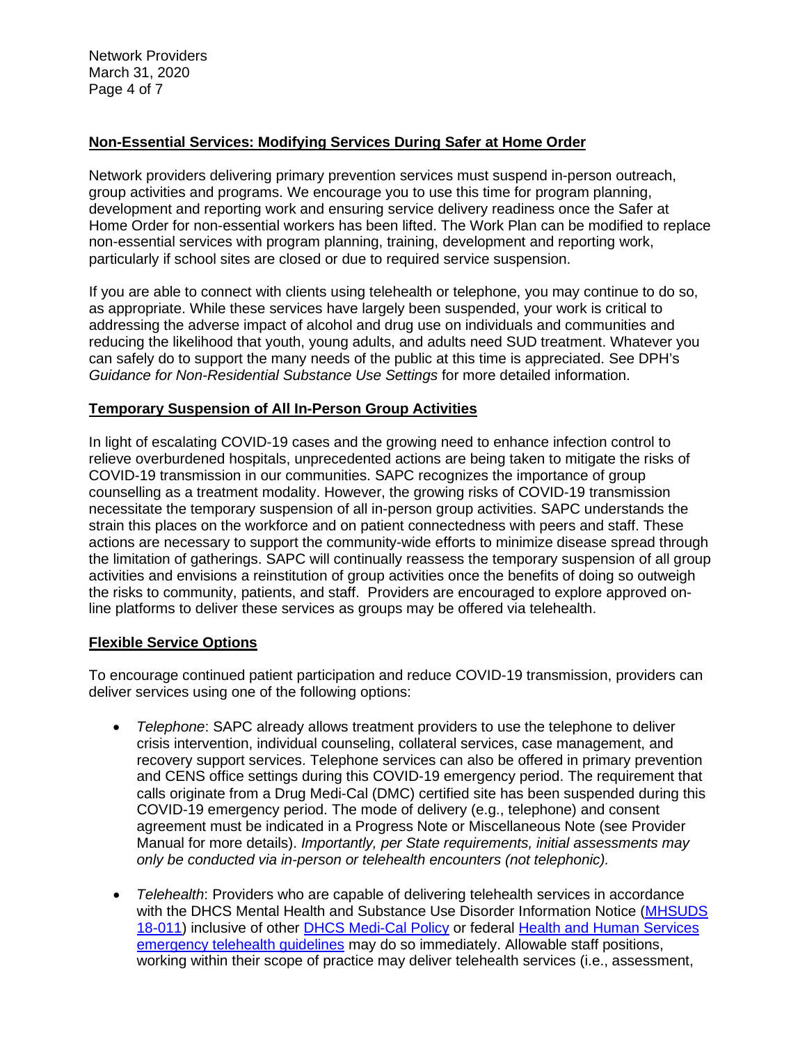Network Providers March 31, 2020 Page 4 of 7

# **Non-Essential Services: Modifying Services During Safer at Home Order**

Network providers delivering primary prevention services must suspend in-person outreach, group activities and programs. We encourage you to use this time for program planning, development and reporting work and ensuring service delivery readiness once the Safer at Home Order for non-essential workers has been lifted. The Work Plan can be modified to replace non-essential services with program planning, training, development and reporting work, particularly if school sites are closed or due to required service suspension.

If you are able to connect with clients using telehealth or telephone, you may continue to do so, as appropriate. While these services have largely been suspended, your work is critical to addressing the adverse impact of alcohol and drug use on individuals and communities and reducing the likelihood that youth, young adults, and adults need SUD treatment. Whatever you can safely do to support the many needs of the public at this time is appreciated. See DPH's *Guidance for Non-Residential Substance Use Settings* for more detailed information.

## **Temporary Suspension of All In-Person Group Activities**

In light of escalating COVID-19 cases and the growing need to enhance infection control to relieve overburdened hospitals, unprecedented actions are being taken to mitigate the risks of COVID-19 transmission in our communities. SAPC recognizes the importance of group counselling as a treatment modality. However, the growing risks of COVID-19 transmission necessitate the temporary suspension of all in-person group activities. SAPC understands the strain this places on the workforce and on patient connectedness with peers and staff. These actions are necessary to support the community-wide efforts to minimize disease spread through the limitation of gatherings. SAPC will continually reassess the temporary suspension of all group activities and envisions a reinstitution of group activities once the benefits of doing so outweigh the risks to community, patients, and staff. Providers are encouraged to explore approved online platforms to deliver these services as groups may be offered via telehealth.

### **Flexible Service Options**

To encourage continued patient participation and reduce COVID-19 transmission, providers can deliver services using one of the following options:

- *Telephone*: SAPC already allows treatment providers to use the telephone to deliver crisis intervention, individual counseling, collateral services, case management, and recovery support services. Telephone services can also be offered in primary prevention and CENS office settings during this COVID-19 emergency period. The requirement that calls originate from a Drug Medi-Cal (DMC) certified site has been suspended during this COVID-19 emergency period. The mode of delivery (e.g., telephone) and consent agreement must be indicated in a Progress Note or Miscellaneous Note (see Provider Manual for more details). *Importantly, per State requirements, initial assessments may only be conducted via in-person or telehealth encounters (not telephonic).*
- *Telehealth*: Providers who are capable of delivering telehealth services in accordance with the DHCS Mental Health and Substance Use Disorder Information Notice [\(MHSUDS](https://www.dhcs.ca.gov/services/MH/Documents/Information%20Notices/IN%2018-%20Network%20Adequacy/MHSUDS_IN_18-011_Network_Adequacy.pdf)  [18-011\)](https://www.dhcs.ca.gov/services/MH/Documents/Information%20Notices/IN%2018-%20Network%20Adequacy/MHSUDS_IN_18-011_Network_Adequacy.pdf) inclusive of other [DHCS Medi-Cal Policy](https://www.dhcs.ca.gov/provgovpart/Pages/Telehealth.aspx) or federal [Health and Human Services](https://www.hhs.gov/hipaa/for-professionals/special-topics/emergency-preparedness/notification-enforcement-discretion-telehealth/index.html)  [emergency telehealth guidelines](https://www.hhs.gov/hipaa/for-professionals/special-topics/emergency-preparedness/notification-enforcement-discretion-telehealth/index.html) may do so immediately. Allowable staff positions, working within their scope of practice may deliver telehealth services (i.e., assessment,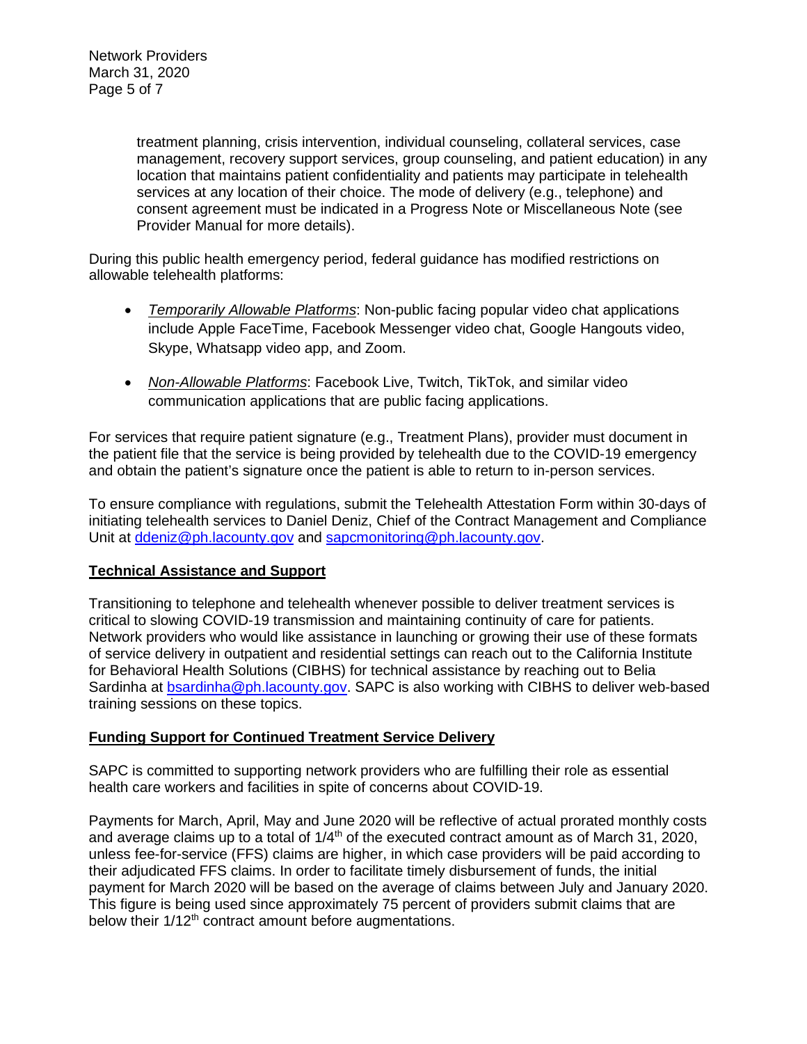treatment planning, crisis intervention, individual counseling, collateral services, case management, recovery support services, group counseling, and patient education) in any location that maintains patient confidentiality and patients may participate in telehealth services at any location of their choice. The mode of delivery (e.g., telephone) and consent agreement must be indicated in a Progress Note or Miscellaneous Note (see Provider Manual for more details).

During this public health emergency period, federal guidance has modified restrictions on allowable telehealth platforms:

- *Temporarily Allowable Platforms*: Non-public facing popular video chat applications include Apple FaceTime, Facebook Messenger video chat, Google Hangouts video, Skype, Whatsapp video app, and Zoom.
- *Non-Allowable Platforms*: Facebook Live, Twitch, TikTok, and similar video communication applications that are public facing applications.

For services that require patient signature (e.g., Treatment Plans), provider must document in the patient file that the service is being provided by telehealth due to the COVID-19 emergency and obtain the patient's signature once the patient is able to return to in-person services.

To ensure compliance with regulations, submit the Telehealth Attestation Form within 30-days of initiating telehealth services to Daniel Deniz, Chief of the Contract Management and Compliance Unit at [ddeniz@ph.lacounty.gov](mailto:ddeniz@ph.lacounty.gov) and [sapcmonitoring@ph.lacounty.gov.](mailto:sapcmonitoring@ph.lacounty.gov)

# **Technical Assistance and Support**

Transitioning to telephone and telehealth whenever possible to deliver treatment services is critical to slowing COVID-19 transmission and maintaining continuity of care for patients. Network providers who would like assistance in launching or growing their use of these formats of service delivery in outpatient and residential settings can reach out to the California Institute for Behavioral Health Solutions (CIBHS) for technical assistance by reaching out to Belia Sardinha at **bsardinha@ph.lacounty.gov.** SAPC is also working with CIBHS to deliver web-based training sessions on these topics.

# **Funding Support for Continued Treatment Service Delivery**

SAPC is committed to supporting network providers who are fulfilling their role as essential health care workers and facilities in spite of concerns about COVID-19.

Payments for March, April, May and June 2020 will be reflective of actual prorated monthly costs and average claims up to a total of  $1/4<sup>th</sup>$  of the executed contract amount as of March 31, 2020, unless fee-for-service (FFS) claims are higher, in which case providers will be paid according to their adjudicated FFS claims. In order to facilitate timely disbursement of funds, the initial payment for March 2020 will be based on the average of claims between July and January 2020. This figure is being used since approximately 75 percent of providers submit claims that are below their 1/12<sup>th</sup> contract amount before augmentations.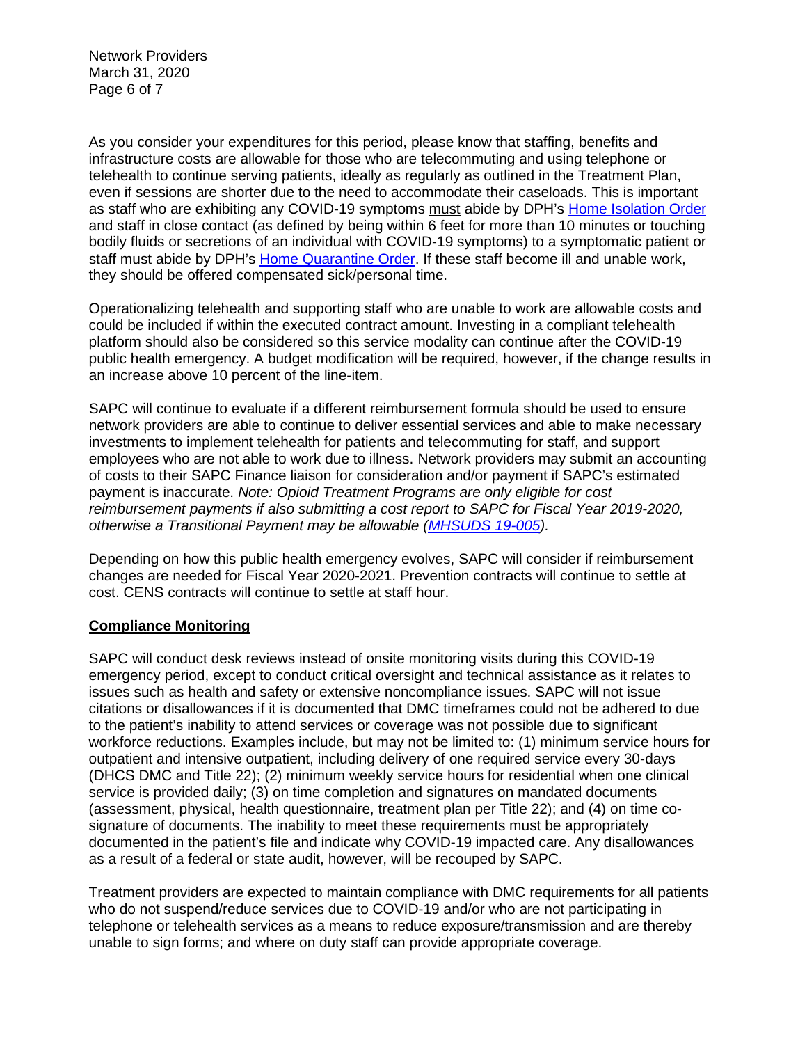Network Providers March 31, 2020 Page 6 of 7

As you consider your expenditures for this period, please know that staffing, benefits and infrastructure costs are allowable for those who are telecommuting and using telephone or telehealth to continue serving patients, ideally as regularly as outlined in the Treatment Plan, even if sessions are shorter due to the need to accommodate their caseloads. This is important as staff who are exhibiting any COVID-19 symptoms must abide by DPH's [Home Isolation Order](http://www.ph.lacounty.gov/media/Coronavirus/HOO_Coronavirus_BlanketIsolation_03.25.20.pdf) and staff in close contact (as defined by being within 6 feet for more than 10 minutes or touching bodily fluids or secretions of an individual with COVID-19 symptoms) to a symptomatic patient or staff must abide by DPH's [Home Quarantine Order.](http://www.ph.lacounty.gov/media/Coronavirus/HOO_Coronavirus_Blanket_Quarantine_03.25.20.pdf) If these staff become ill and unable work, they should be offered compensated sick/personal time.

Operationalizing telehealth and supporting staff who are unable to work are allowable costs and could be included if within the executed contract amount. Investing in a compliant telehealth platform should also be considered so this service modality can continue after the COVID-19 public health emergency. A budget modification will be required, however, if the change results in an increase above 10 percent of the line-item.

SAPC will continue to evaluate if a different reimbursement formula should be used to ensure network providers are able to continue to deliver essential services and able to make necessary investments to implement telehealth for patients and telecommuting for staff, and support employees who are not able to work due to illness. Network providers may submit an accounting of costs to their SAPC Finance liaison for consideration and/or payment if SAPC's estimated payment is inaccurate. *Note: Opioid Treatment Programs are only eligible for cost reimbursement payments if also submitting a cost report to SAPC for Fiscal Year 2019-2020, otherwise a Transitional Payment may be allowable [\(MHSUDS 19-005\)](https://www.dhcs.ca.gov/formsandpubs/Documents/MHSUDS%20Information%20Notices/MHSUDS-Information-Notice-19-005-NTP-Cost-Reporting.pdf).*

Depending on how this public health emergency evolves, SAPC will consider if reimbursement changes are needed for Fiscal Year 2020-2021. Prevention contracts will continue to settle at cost. CENS contracts will continue to settle at staff hour.

# **Compliance Monitoring**

SAPC will conduct desk reviews instead of onsite monitoring visits during this COVID-19 emergency period, except to conduct critical oversight and technical assistance as it relates to issues such as health and safety or extensive noncompliance issues. SAPC will not issue citations or disallowances if it is documented that DMC timeframes could not be adhered to due to the patient's inability to attend services or coverage was not possible due to significant workforce reductions. Examples include, but may not be limited to: (1) minimum service hours for outpatient and intensive outpatient, including delivery of one required service every 30-days (DHCS DMC and Title 22); (2) minimum weekly service hours for residential when one clinical service is provided daily; (3) on time completion and signatures on mandated documents (assessment, physical, health questionnaire, treatment plan per Title 22); and (4) on time cosignature of documents. The inability to meet these requirements must be appropriately documented in the patient's file and indicate why COVID-19 impacted care. Any disallowances as a result of a federal or state audit, however, will be recouped by SAPC.

Treatment providers are expected to maintain compliance with DMC requirements for all patients who do not suspend/reduce services due to COVID-19 and/or who are not participating in telephone or telehealth services as a means to reduce exposure/transmission and are thereby unable to sign forms; and where on duty staff can provide appropriate coverage.